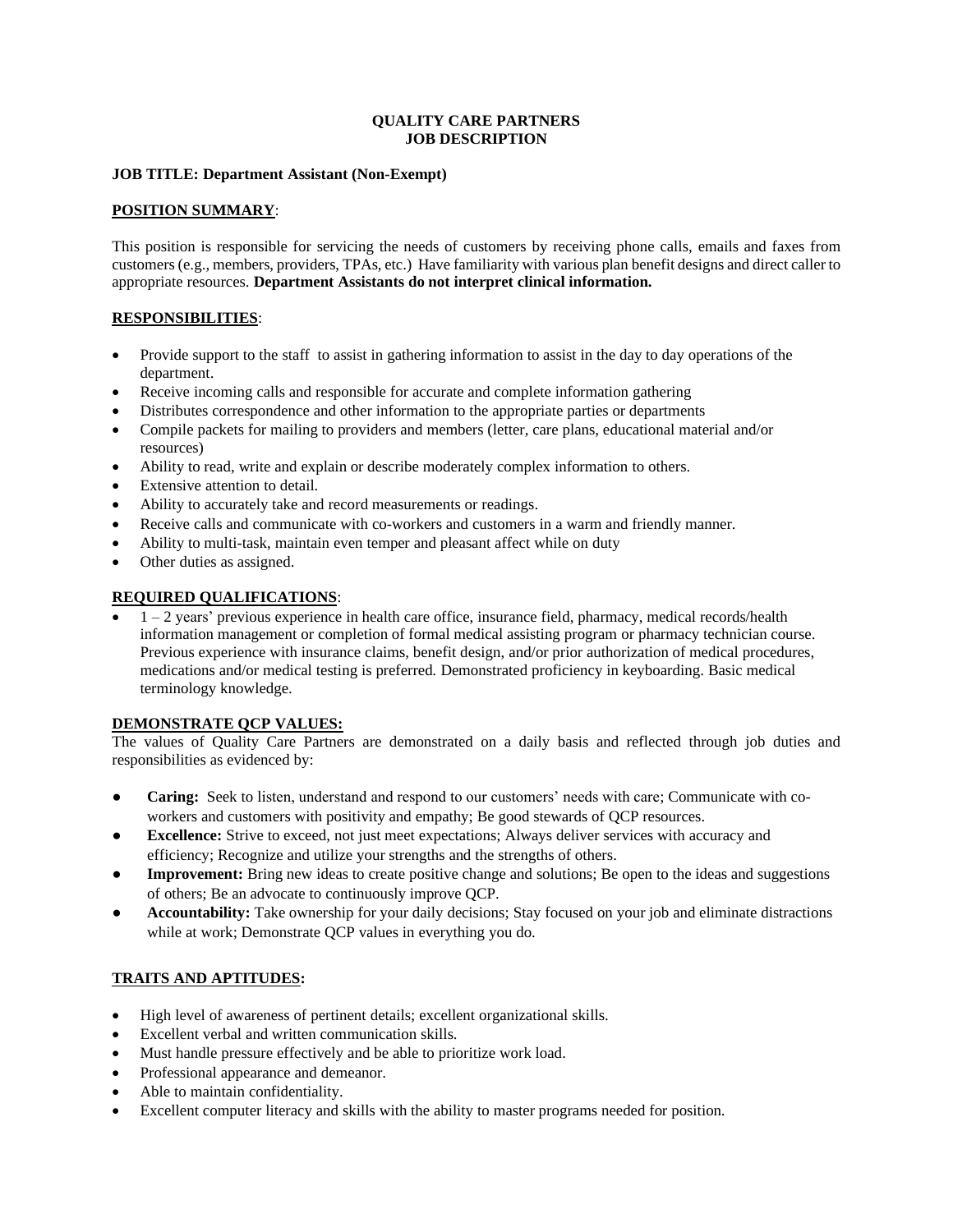#### **QUALITY CARE PARTNERS JOB DESCRIPTION**

#### **JOB TITLE: Department Assistant (Non-Exempt)**

# **POSITION SUMMARY**:

This position is responsible for servicing the needs of customers by receiving phone calls, emails and faxes from customers (e.g., members, providers, TPAs, etc.) Have familiarity with various plan benefit designs and direct caller to appropriate resources. **Department Assistants do not interpret clinical information.**

#### **RESPONSIBILITIES**:

- Provide support to the staff to assist in gathering information to assist in the day to day operations of the department.
- Receive incoming calls and responsible for accurate and complete information gathering
- Distributes correspondence and other information to the appropriate parties or departments
- Compile packets for mailing to providers and members (letter, care plans, educational material and/or resources)
- Ability to read, write and explain or describe moderately complex information to others.
- Extensive attention to detail.
- Ability to accurately take and record measurements or readings.
- Receive calls and communicate with co-workers and customers in a warm and friendly manner.
- Ability to multi-task, maintain even temper and pleasant affect while on duty
- Other duties as assigned.

# **REQUIRED QUALIFICATIONS**:

• 1 – 2 years' previous experience in health care office, insurance field, pharmacy, medical records/health information management or completion of formal medical assisting program or pharmacy technician course. Previous experience with insurance claims, benefit design, and/or prior authorization of medical procedures, medications and/or medical testing is preferred. Demonstrated proficiency in keyboarding. Basic medical terminology knowledge.

# **DEMONSTRATE QCP VALUES:**

The values of Quality Care Partners are demonstrated on a daily basis and reflected through job duties and responsibilities as evidenced by:

- **● Caring:** Seek to listen, understand and respond to our customers' needs with care; Communicate with coworkers and customers with positivity and empathy; Be good stewards of QCP resources.
- **Excellence:** Strive to exceed, not just meet expectations; Always deliver services with accuracy and efficiency; Recognize and utilize your strengths and the strengths of others.
- **Improvement:** Bring new ideas to create positive change and solutions; Be open to the ideas and suggestions of others; Be an advocate to continuously improve QCP.
- **Accountability:** Take ownership for your daily decisions; Stay focused on your job and eliminate distractions while at work; Demonstrate QCP values in everything you do.

# **TRAITS AND APTITUDES:**

- High level of awareness of pertinent details; excellent organizational skills.
- Excellent verbal and written communication skills.
- Must handle pressure effectively and be able to prioritize work load.
- Professional appearance and demeanor.
- Able to maintain confidentiality.
- Excellent computer literacy and skills with the ability to master programs needed for position.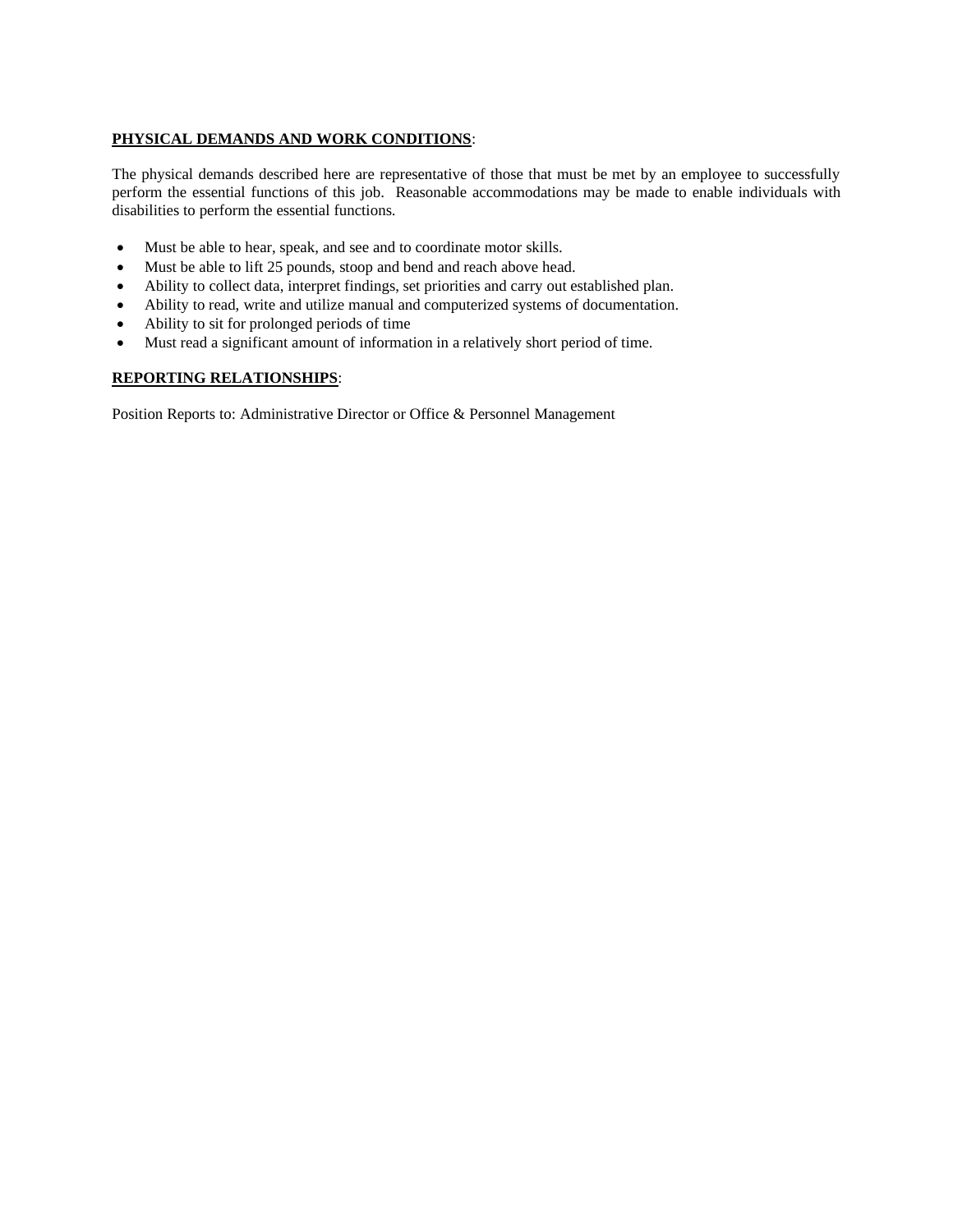# **PHYSICAL DEMANDS AND WORK CONDITIONS**:

The physical demands described here are representative of those that must be met by an employee to successfully perform the essential functions of this job. Reasonable accommodations may be made to enable individuals with disabilities to perform the essential functions.

- Must be able to hear, speak, and see and to coordinate motor skills.
- Must be able to lift 25 pounds, stoop and bend and reach above head.
- Ability to collect data, interpret findings, set priorities and carry out established plan.
- Ability to read, write and utilize manual and computerized systems of documentation.
- Ability to sit for prolonged periods of time
- Must read a significant amount of information in a relatively short period of time.

# **REPORTING RELATIONSHIPS**:

Position Reports to: Administrative Director or Office & Personnel Management